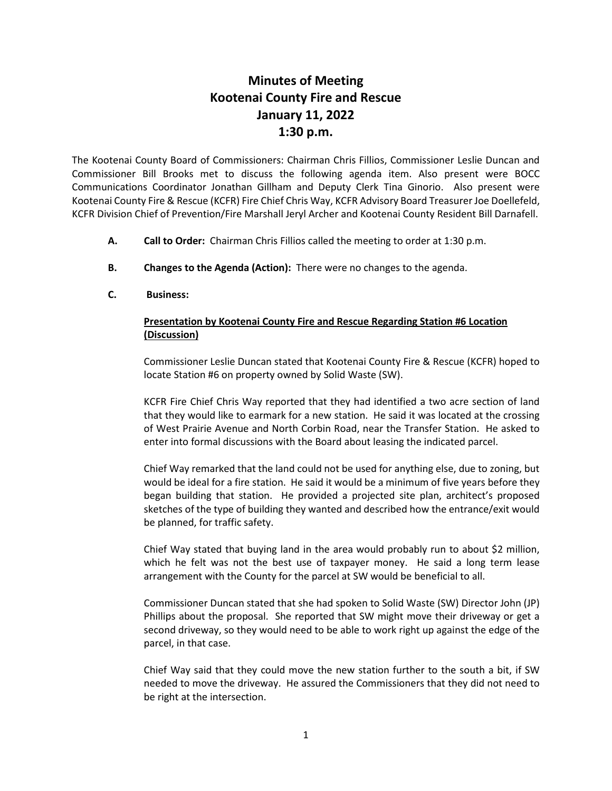## **Minutes of Meeting Kootenai County Fire and Rescue January 11, 2022 1:30 p.m.**

The Kootenai County Board of Commissioners: Chairman Chris Fillios, Commissioner Leslie Duncan and Commissioner Bill Brooks met to discuss the following agenda item. Also present were BOCC Communications Coordinator Jonathan Gillham and Deputy Clerk Tina Ginorio. Also present were Kootenai County Fire & Rescue (KCFR) Fire Chief Chris Way, KCFR Advisory Board Treasurer Joe Doellefeld, KCFR Division Chief of Prevention/Fire Marshall Jeryl Archer and Kootenai County Resident Bill Darnafell.

- **A. Call to Order:** Chairman Chris Fillios called the meeting to order at 1:30 p.m.
- **B. Changes to the Agenda (Action):** There were no changes to the agenda.
- **C. Business:**

## **Presentation by Kootenai County Fire and Rescue Regarding Station #6 Location (Discussion)**

Commissioner Leslie Duncan stated that Kootenai County Fire & Rescue (KCFR) hoped to locate Station #6 on property owned by Solid Waste (SW).

KCFR Fire Chief Chris Way reported that they had identified a two acre section of land that they would like to earmark for a new station. He said it was located at the crossing of West Prairie Avenue and North Corbin Road, near the Transfer Station. He asked to enter into formal discussions with the Board about leasing the indicated parcel.

Chief Way remarked that the land could not be used for anything else, due to zoning, but would be ideal for a fire station. He said it would be a minimum of five years before they began building that station. He provided a projected site plan, architect's proposed sketches of the type of building they wanted and described how the entrance/exit would be planned, for traffic safety.

Chief Way stated that buying land in the area would probably run to about \$2 million, which he felt was not the best use of taxpayer money. He said a long term lease arrangement with the County for the parcel at SW would be beneficial to all.

Commissioner Duncan stated that she had spoken to Solid Waste (SW) Director John (JP) Phillips about the proposal. She reported that SW might move their driveway or get a second driveway, so they would need to be able to work right up against the edge of the parcel, in that case.

Chief Way said that they could move the new station further to the south a bit, if SW needed to move the driveway. He assured the Commissioners that they did not need to be right at the intersection.